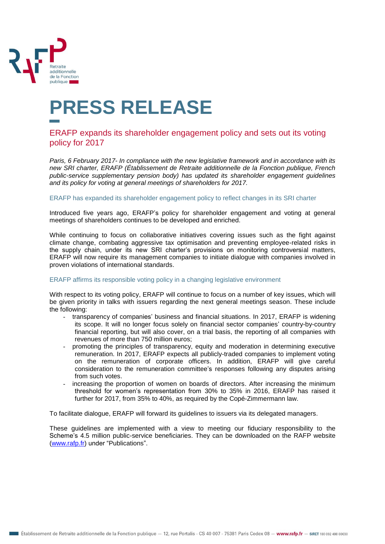

# **PRESS RELEASE**

## ERAFP expands its shareholder engagement policy and sets out its voting policy for 2017

*Paris, 6 February 2017- In compliance with the new legislative framework and in accordance with its new SRI charter, ERAFP (Établissement de Retraite additionnelle de la Fonction publique, French public-service supplementary pension body) has updated its shareholder engagement guidelines and its policy for voting at general meetings of shareholders for 2017.* 

ERAFP has expanded its shareholder engagement policy to reflect changes in its SRI charter

Introduced five years ago, ERAFP's policy for shareholder engagement and voting at general meetings of shareholders continues to be developed and enriched.

While continuing to focus on collaborative initiatives covering issues such as the fight against climate change, combating aggressive tax optimisation and preventing employee-related risks in the supply chain, under its new SRI charter's provisions on monitoring controversial matters, ERAFP will now require its management companies to initiate dialogue with companies involved in proven violations of international standards.

#### ERAFP affirms its responsible voting policy in a changing legislative environment

With respect to its voting policy, ERAFP will continue to focus on a number of key issues, which will be given priority in talks with issuers regarding the next general meetings season. These include the following:

- transparency of companies' business and financial situations. In 2017, ERAFP is widening its scope. It will no longer focus solely on financial sector companies' country-by-country financial reporting, but will also cover, on a trial basis, the reporting of all companies with revenues of more than 750 million euros;
- promoting the principles of transparency, equity and moderation in determining executive remuneration. In 2017, ERAFP expects all publicly-traded companies to implement voting on the remuneration of corporate officers. In addition, ERAFP will give careful consideration to the remuneration committee's responses following any disputes arising from such votes.
- increasing the proportion of women on boards of directors. After increasing the minimum threshold for women's representation from 30% to 35% in 2016, ERAFP has raised it further for 2017, from 35% to 40%, as required by the Copé-Zimmermann law.

To facilitate dialogue, ERAFP will forward its guidelines to issuers via its delegated managers.

These guidelines are implemented with a view to meeting our fiduciary responsibility to the Scheme's 4.5 million public-service beneficiaries. They can be downloaded on the RAFP website [\(www.rafp.fr\)](http://www.rafp.fr/) under "Publications".